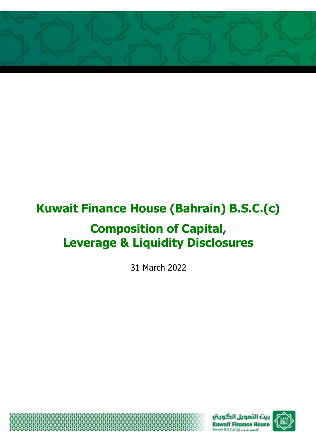

# **Kuwait Finance House (Bahrain) B.S.C.(c)**

## **Composition of Capital, Leverage & Liquidity Disclosures**

31 March 2022





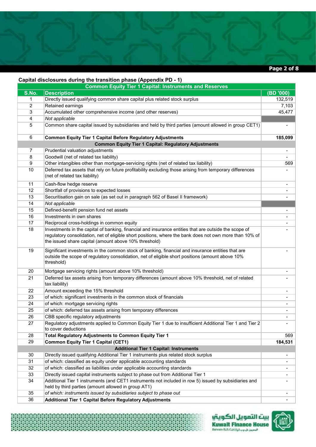

#### **Capital disclosures during the transition phase (Appendix PD - 1)**

磔

| $\mu$ . The model contrary the transition phase (Appendix Fig. 1)<br><b>Common Equity Tier 1 Capital: Instruments and Reserves</b> |                                                                                                                                                                                                                     |                          |  |
|------------------------------------------------------------------------------------------------------------------------------------|---------------------------------------------------------------------------------------------------------------------------------------------------------------------------------------------------------------------|--------------------------|--|
| S.No.                                                                                                                              | <b>Description</b>                                                                                                                                                                                                  | (BD '000)                |  |
| 1                                                                                                                                  | Directly issued qualifying common share capital plus related stock surplus                                                                                                                                          | 132,519                  |  |
| 2                                                                                                                                  | Retained earnings                                                                                                                                                                                                   | 7,103                    |  |
| 3                                                                                                                                  | Accumulated other comprehensive income (and other reserves)                                                                                                                                                         | 45,477                   |  |
| 4                                                                                                                                  | Not applicable                                                                                                                                                                                                      |                          |  |
| 5                                                                                                                                  | Common share capital issued by subsidiaries and held by third parties (amount allowed in group CET1)                                                                                                                |                          |  |
| 6                                                                                                                                  | <b>Common Equity Tier 1 Capital Before Regulatory Adjustments</b>                                                                                                                                                   | 185,099                  |  |
|                                                                                                                                    | <b>Common Equity Tier 1 Capital: Regulatory Adjustments</b>                                                                                                                                                         |                          |  |
| $\overline{7}$                                                                                                                     | Prudential valuation adjustments                                                                                                                                                                                    |                          |  |
| 8                                                                                                                                  | Goodwill (net of related tax liability)                                                                                                                                                                             |                          |  |
| 9                                                                                                                                  | Other intangibles other than mortgage-servicing rights (net of related tax liability)                                                                                                                               | 569                      |  |
| 10                                                                                                                                 | Deferred tax assets that rely on future profitability excluding those arising from temporary differences<br>(net of related tax liability)                                                                          |                          |  |
| 11                                                                                                                                 | Cash-flow hedge reserve                                                                                                                                                                                             | $\overline{\phantom{a}}$ |  |
| 12                                                                                                                                 | Shortfall of provisions to expected losses                                                                                                                                                                          | $\blacksquare$           |  |
| 13                                                                                                                                 | Securitisation gain on sale (as set out in paragraph 562 of Basel II framework)                                                                                                                                     |                          |  |
| 14                                                                                                                                 | Not applicable                                                                                                                                                                                                      |                          |  |
| 15                                                                                                                                 | Defined-benefit pension fund net assets                                                                                                                                                                             |                          |  |
| 16                                                                                                                                 | Investments in own shares                                                                                                                                                                                           |                          |  |
| 17                                                                                                                                 | Reciprocal cross-holdings in common equity                                                                                                                                                                          |                          |  |
| 18                                                                                                                                 | Investments in the capital of banking, financial and insurance entities that are outside the scope of                                                                                                               |                          |  |
|                                                                                                                                    | regulatory consolidation, net of eligible short positions, where the bank does not own more than 10% of<br>the issued share capital (amount above 10% threshold)                                                    |                          |  |
| 19                                                                                                                                 | Significant investments in the common stock of banking, financial and insurance entities that are<br>outside the scope of regulatory consolidation, net of eligible short positions (amount above 10%<br>threshold) |                          |  |
| 20                                                                                                                                 | Mortgage servicing rights (amount above 10% threshold)                                                                                                                                                              |                          |  |
| 21                                                                                                                                 | Deferred tax assets arising from temporary differences (amount above 10% threshold, net of related<br>tax liability)                                                                                                |                          |  |
| 22                                                                                                                                 | Amount exceeding the 15% threshold                                                                                                                                                                                  |                          |  |
| 23                                                                                                                                 | of which: significant investments in the common stock of financials                                                                                                                                                 |                          |  |
| 24                                                                                                                                 | of which: mortgage servicing rights                                                                                                                                                                                 |                          |  |
| 25                                                                                                                                 | of which: deferred tax assets arising from temporary differences                                                                                                                                                    |                          |  |
| 26                                                                                                                                 | CBB specific regulatory adjustments                                                                                                                                                                                 |                          |  |
| 27                                                                                                                                 | Regulatory adjustments applied to Common Equity Tier 1 due to insufficient Additional Tier 1 and Tier 2<br>to cover deductions                                                                                      |                          |  |
| 28                                                                                                                                 | Total Regulatory Adjustments to Common Equity Tier 1                                                                                                                                                                | 569                      |  |
| 29                                                                                                                                 | <b>Common Equity Tier 1 Capital (CET1)</b>                                                                                                                                                                          | 184,531                  |  |
|                                                                                                                                    | <b>Additional Tier 1 Capital: Instruments</b>                                                                                                                                                                       |                          |  |
| 30                                                                                                                                 | Directly issued qualifying Additional Tier 1 instruments plus related stock surplus                                                                                                                                 | $\blacksquare$           |  |
| 31                                                                                                                                 | of which: classified as equity under applicable accounting standards                                                                                                                                                |                          |  |
| 32                                                                                                                                 | of which: classified as liabilities under applicable accounting standards                                                                                                                                           |                          |  |
| 33                                                                                                                                 | Directly issued capital instruments subject to phase out from Additional Tier 1                                                                                                                                     |                          |  |
| 34                                                                                                                                 | Additional Tier 1 instruments (and CET1 instruments not included in row 5) issued by subsidiaries and                                                                                                               |                          |  |
|                                                                                                                                    | held by third parties (amount allowed in group AT1)                                                                                                                                                                 |                          |  |
| 35                                                                                                                                 | of which: instruments issued by subsidiaries subject to phase out                                                                                                                                                   |                          |  |
| 36                                                                                                                                 | <b>Additional Tier 1 Capital Before Regulatory Adjustments</b>                                                                                                                                                      |                          |  |



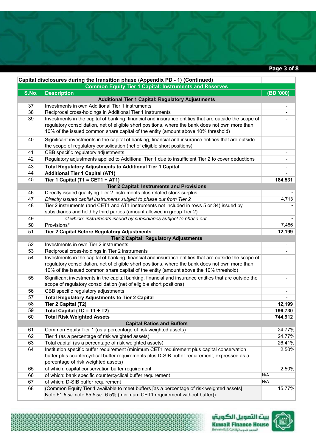**Page 3 of 8** 

| Capital disclosures during the transition phase (Appendix PD - 1) (Continued) |                                                                                                       |                          |  |
|-------------------------------------------------------------------------------|-------------------------------------------------------------------------------------------------------|--------------------------|--|
| <b>Common Equity Tier 1 Capital: Instruments and Reserves</b>                 |                                                                                                       |                          |  |
| S.No.                                                                         | <b>Description</b>                                                                                    | (BD '000)                |  |
|                                                                               | <b>Additional Tier 1 Capital: Regulatory Adjustments</b>                                              |                          |  |
| 37                                                                            | Investments in own Additional Tier 1 instruments                                                      |                          |  |
| 38                                                                            | Reciprocal cross-holdings in Additional Tier 1 instruments                                            |                          |  |
| 39                                                                            | Investments in the capital of banking, financial and insurance entities that are outside the scope of |                          |  |
|                                                                               | regulatory consolidation, net of eligible short positions, where the bank does not own more than      |                          |  |
|                                                                               | 10% of the issued common share capital of the entity (amount above 10% threshold)                     |                          |  |
| 40                                                                            | Significant investments in the capital of banking, financial and insurance entities that are outside  | $\overline{\phantom{a}}$ |  |
|                                                                               | the scope of regulatory consolidation (net of eligible short positions)                               |                          |  |
| 41                                                                            | CBB specific regulatory adjustments                                                                   |                          |  |
| 42                                                                            | Regulatory adjustments applied to Additional Tier 1 due to insufficient Tier 2 to cover deductions    |                          |  |
| 43                                                                            | <b>Total Regulatory Adjustments to Additional Tier 1 Capital</b>                                      |                          |  |
| 44                                                                            | <b>Additional Tier 1 Capital (AT1)</b>                                                                |                          |  |
| 45                                                                            | Tier 1 Capital (T1 = CET1 + AT1)                                                                      | 184,531                  |  |
|                                                                               | <b>Tier 2 Capital: Instruments and Provisions</b>                                                     |                          |  |
| 46                                                                            | Directly issued qualifying Tier 2 instruments plus related stock surplus                              |                          |  |
| 47                                                                            | Directly issued capital instruments subject to phase out from Tier 2                                  | 4,713                    |  |
| 48                                                                            | Tier 2 instruments (and CET1 and AT1 instruments not included in rows 5 or 34) issued by              |                          |  |
|                                                                               | subsidiaries and held by third parties (amount allowed in group Tier 2)                               |                          |  |
| 49                                                                            | of which: instruments issued by subsidiaries subject to phase out                                     |                          |  |
| 50                                                                            | Provisions*                                                                                           | 7,486                    |  |
| 51                                                                            | <b>Tier 2 Capital Before Regulatory Adjustments</b>                                                   | 12,199                   |  |
|                                                                               | <b>Tier 2 Capital: Regulatory Adjustments</b>                                                         |                          |  |
| 52                                                                            | Investments in own Tier 2 instruments                                                                 | $\blacksquare$           |  |
| 53                                                                            | Reciprocal cross-holdings in Tier 2 instruments                                                       |                          |  |
| 54                                                                            | Investments in the capital of banking, financial and insurance entities that are outside the scope of |                          |  |
|                                                                               | regulatory consolidation, net of eligible short positions, where the bank does not own more than      |                          |  |
|                                                                               | 10% of the issued common share capital of the entity (amount above the 10% threshold)                 |                          |  |
| 55                                                                            | Significant investments in the capital banking, financial and insurance entities that are outside the |                          |  |
|                                                                               | scope of regulatory consolidation (net of eligible short positions)                                   |                          |  |
| 56                                                                            | CBB specific regulatory adjustments                                                                   |                          |  |
| 57                                                                            | <b>Total Regulatory Adjustments to Tier 2 Capital</b>                                                 |                          |  |
| 58                                                                            | Tier 2 Capital (T2)                                                                                   | 12,199                   |  |
| 59                                                                            | Total Capital (TC = T1 + T2)                                                                          | 196,730                  |  |
| 60                                                                            | Total Risk Weighted Assets                                                                            | 744,912                  |  |
|                                                                               | <b>Capital Ratios and Buffers</b>                                                                     |                          |  |
| 61                                                                            | Common Equity Tier 1 (as a percentage of risk weighted assets)                                        | 24.77%                   |  |
| 62                                                                            | Tier 1 (as a percentage of risk weighted assets)                                                      | 24.77%                   |  |
| 63                                                                            | Total capital (as a percentage of risk weighted assets)                                               | 26.41%                   |  |
| 64                                                                            | Institution specific buffer requirement (minimum CET1 requirement plus capital conservation           | 2.50%                    |  |
|                                                                               | buffer plus countercyclical buffer requirements plus D-SIB buffer requirement, expressed as a         |                          |  |
|                                                                               | percentage of risk weighted assets)                                                                   |                          |  |
| 65                                                                            | of which: capital conservation buffer requirement                                                     | 2.50%                    |  |
| 66                                                                            | of which: bank specific countercyclical buffer requirement                                            | N/A                      |  |
| 67                                                                            | of which: D-SIB buffer requirement                                                                    | N/A                      |  |
| 68                                                                            | (Common Equity Tier 1 available to meet buffers [as a percentage of risk weighted assets]             | 15.77%                   |  |
|                                                                               | Note 61 less note 65 less 6.5% (minimum CET1 requirement without buffer))                             |                          |  |



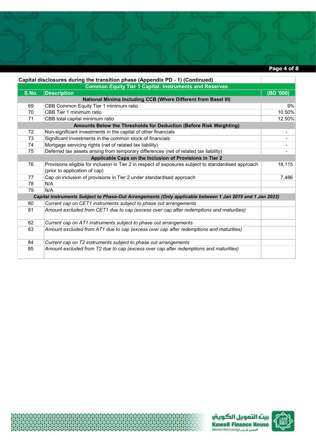## **Page 4 of 8**

| Capital disclosures during the transition phase (Appendix PD - 1) (Continued) |                                                                                                           |                          |  |  |
|-------------------------------------------------------------------------------|-----------------------------------------------------------------------------------------------------------|--------------------------|--|--|
| <b>Common Equity Tier 1 Capital: Instruments and Reserves</b>                 |                                                                                                           |                          |  |  |
| S.No.                                                                         | <b>Description</b>                                                                                        | (BD '000)                |  |  |
| National Minima Including CCB (Where Different from Basel III)                |                                                                                                           |                          |  |  |
| 69                                                                            | CBB Common Equity Tier 1 minimum ratio                                                                    | 9%                       |  |  |
| 70                                                                            | CBB Tier 1 minimum ratio                                                                                  | 10.50%                   |  |  |
| 71                                                                            | CBB total capital minimum ratio                                                                           | 12.50%                   |  |  |
|                                                                               | Amounts Below the Thresholds for Deduction (Before Risk Weighting)                                        |                          |  |  |
| 72                                                                            | Non-significant investments in the capital of other financials                                            | $\overline{\phantom{a}}$ |  |  |
| 73                                                                            | Significant investments in the common stock of financials                                                 |                          |  |  |
| 74                                                                            | Mortgage servicing rights (net of related tax liability)                                                  |                          |  |  |
| 75                                                                            | Deferred tax assets arising from temporary differences (net of related tax liability)                     |                          |  |  |
|                                                                               | Applicable Caps on the Inclusion of Provisions in Tier 2                                                  |                          |  |  |
| 76                                                                            | Provisions eligible for inclusion in Tier 2 in respect of exposures subject to standardised approach      | 18,115                   |  |  |
|                                                                               | (prior to application of cap)                                                                             |                          |  |  |
| 77                                                                            | Cap on inclusion of provisions in Tier 2 under standardised approach                                      | 7,486                    |  |  |
| 78                                                                            | N/A                                                                                                       |                          |  |  |
| 79                                                                            | N/A                                                                                                       |                          |  |  |
|                                                                               | Capital Instruments Subject to Phase-Out Arrangements (Only applicable between 1 Jan 2019 and 1 Jan 2023) |                          |  |  |
| 80                                                                            | Current cap on CET1 instruments subject to phase out arrangements                                         |                          |  |  |
| 81                                                                            | Amount excluded from CET1 due to cap (excess over cap after redemptions and maturities)                   |                          |  |  |
| 82                                                                            | Current cap on AT1 instruments subject to phase out arrangements                                          |                          |  |  |
| 83                                                                            | Amount excluded from AT1 due to cap (excess over cap after redemptions and maturities)                    |                          |  |  |
|                                                                               |                                                                                                           |                          |  |  |
| 84                                                                            | Current cap on T2 instruments subject to phase out arrangements                                           |                          |  |  |
| 85                                                                            | Amount excluded from T2 due to cap (excess over cap after redemptions and maturities)                     |                          |  |  |





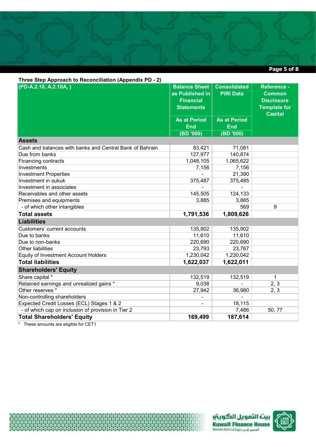**Page 5 of 8** 

| Three Step Approach to Reconciliation (Appendix PD - 2)  |                          |                     |                     |  |
|----------------------------------------------------------|--------------------------|---------------------|---------------------|--|
| (PD-A.2.10, A.2.10A, )                                   | <b>Balance Sheet</b>     | <b>Consolidated</b> | Reference -         |  |
|                                                          | as Published in          | <b>PIRI Data</b>    | <b>Common</b>       |  |
|                                                          | <b>Financial</b>         |                     | <b>Disclosure</b>   |  |
|                                                          | <b>Statements</b>        |                     | <b>Template for</b> |  |
|                                                          |                          |                     | <b>Capital</b>      |  |
|                                                          | <b>As at Period</b>      | <b>As at Period</b> |                     |  |
|                                                          | <b>End</b>               | <b>End</b>          |                     |  |
|                                                          | (BD'000)                 | $(000'$ (BD)        |                     |  |
| <b>Assets</b>                                            |                          |                     |                     |  |
| Cash and balances with banks and Central Bank of Bahrain | 83,421                   | 71,081              |                     |  |
| Due from banks                                           | 127,977                  | 140,874             |                     |  |
| Financing contracts                                      | 1,048,105                | 1,065,622           |                     |  |
| Investments                                              | 7,156                    | 7,156               |                     |  |
| <b>Investment Properties</b>                             |                          | 21,390              |                     |  |
| Investment in sukuk                                      | 375,487                  | 375,485             |                     |  |
| Investment in associates                                 |                          |                     |                     |  |
| Receivables and other assets                             | 145,505                  | 124,133             |                     |  |
| Premises and equipments                                  | 3,885                    | 3,885               |                     |  |
| - of which other intangibles                             |                          | 569                 | 9                   |  |
| <b>Total assets</b>                                      | 1,791,536                | 1,809,626           |                     |  |
| <b>Liabilities</b>                                       |                          |                     |                     |  |
| Customers' current accounts                              | 135,902                  | 135,902             |                     |  |
| Due to banks                                             | 11,610                   | 11,610              |                     |  |
| Due to non-banks                                         | 220,690                  | 220,690             |                     |  |
| Other liabilities                                        | 23,793                   | 23,767              |                     |  |
| <b>Equity of Investment Account Holders</b>              | 1,230,042                | 1,230,042           |                     |  |
| <b>Total liabilities</b>                                 | 1,622,037                | 1,622,011           |                     |  |
| <b>Shareholders' Equity</b>                              |                          |                     |                     |  |
| Share capital *                                          | 132,519                  | 132,519             | $\mathbf 1$         |  |
| Retained earnings and unrealized gains *                 | 9,038                    |                     | 2, 3                |  |
| Other reserves *                                         | 27,942                   | 36,980              | 2, 3                |  |
| Non-controlling shareholders                             | Ξ.                       |                     |                     |  |
| Expected Credit Losses (ECL) Stages 1 & 2                | $\overline{\phantom{0}}$ | 18,115              |                     |  |
| - of which cap on inclusion of provision in Tier 2       |                          | 7,486               | 50, 77              |  |
| <b>Total Shareholders' Equity</b>                        | 169,499                  | 187,614             |                     |  |

\* These amounts are eligible for CET1





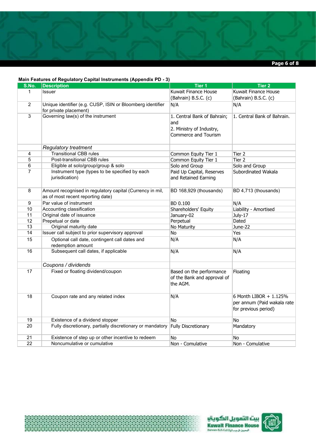

#### **Main Features of Regulatory Capital Instruments (Appendix PD - 3)**

44488888888888

| S.No.          | <b>Description</b>                                                                             | Tier 1                                                                                 | Tier 2                                                                        |
|----------------|------------------------------------------------------------------------------------------------|----------------------------------------------------------------------------------------|-------------------------------------------------------------------------------|
| $\mathbf 1$    | Issuer                                                                                         | Kuwait Finance House                                                                   | Kuwait Finance House                                                          |
|                |                                                                                                | (Bahrain) B.S.C. (c)                                                                   | (Bahrain) B.S.C. (c)                                                          |
| $\overline{2}$ | Unique identifier (e.g. CUSP, ISIN or Bloomberg identifier<br>for private placement)           | N/A                                                                                    | N/A                                                                           |
| $\overline{3}$ | Governing law(s) of the instrument                                                             | 1. Central Bank of Bahrain;<br>and<br>2. Ministry of Industry,<br>Commerce and Tourism | 1. Central Bank of Bahrain.                                                   |
|                | <b>Regulatory treatment</b>                                                                    |                                                                                        |                                                                               |
| 4              | <b>Transitional CBB rules</b>                                                                  | Common Equity Tier 1                                                                   | Tier 2                                                                        |
| $\overline{5}$ | Post-transitional CBB rules                                                                    | Common Equity Tier 1                                                                   | Tier 2                                                                        |
| 6              | Eligible at solo/group/group & solo                                                            | Solo and Group                                                                         | Solo and Group                                                                |
| $\overline{7}$ | Instrument type (types to be specified by each<br>jurisdication)                               | Paid Up Capital, Reserves<br>and Retained Earning                                      | Subordinated Wakala                                                           |
| 8              | Amount recognised in regulatory capital (Currency in mil,<br>as of most recent reporting date) | BD 168,929 (thousands)                                                                 | BD 4,713 (thousands)                                                          |
| $\overline{9}$ | Par value of instrument                                                                        | BD 0.100                                                                               | N/A                                                                           |
| 10             | Accounting classification                                                                      | Shareholders' Equity                                                                   | Liability - Amortised                                                         |
| 11             | Original date of issuance                                                                      | January-02                                                                             | July-17                                                                       |
| 12             | Prepetual or date                                                                              | Perpetual                                                                              | Dated                                                                         |
| 13             | Original maturity date                                                                         | No Maturity                                                                            | June-22                                                                       |
| 14             | Issuer call subject to prior supervisory approval                                              | No                                                                                     | Yes                                                                           |
| 15             | Optional call date, contingent call dates and<br>redemption amount                             | N/A                                                                                    | N/A                                                                           |
| 16             | Subsequent call dates, if applicable                                                           | N/A                                                                                    | N/A                                                                           |
|                | Coupons / dividends                                                                            |                                                                                        |                                                                               |
| 17             | Fixed or floating dividend/coupon                                                              | Based on the performance<br>of the Bank and approval of<br>the AGM.                    | Floating                                                                      |
| 18             | Coupon rate and any related index                                                              | N/A                                                                                    | 6 Month LIBOR + 1.125%<br>per annum (Paid wakala rate<br>for previous period) |
| 19             | Existence of a dividend stopper                                                                | <b>No</b>                                                                              | No                                                                            |
| 20             | Fully discretionary, partially discretionary or mandatory                                      | Fully Discretionary                                                                    | Mandatory                                                                     |
| 21             | Existence of step up or other incentive to redeem                                              | No                                                                                     | No                                                                            |
| 22             | Noncumulative or cumulative                                                                    | Non - Comulative                                                                       | Non - Comulative                                                              |



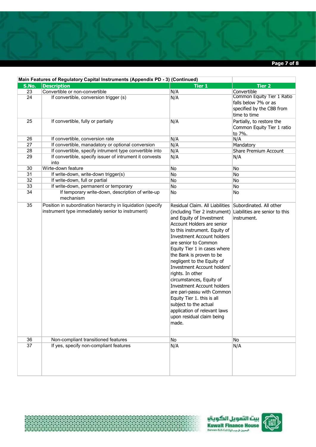

|       | Main Features of Regulatory Capital Instruments (Appendix PD - 3) (Continued)                                    |                                                                                                                                                                                                                                                                                                                                                                                                                                                                                                                                                                                                                                                                 |                                                                                                 |  |  |
|-------|------------------------------------------------------------------------------------------------------------------|-----------------------------------------------------------------------------------------------------------------------------------------------------------------------------------------------------------------------------------------------------------------------------------------------------------------------------------------------------------------------------------------------------------------------------------------------------------------------------------------------------------------------------------------------------------------------------------------------------------------------------------------------------------------|-------------------------------------------------------------------------------------------------|--|--|
| S.No. | <b>Description</b>                                                                                               | <b>Tier 1</b>                                                                                                                                                                                                                                                                                                                                                                                                                                                                                                                                                                                                                                                   | <b>Tier 2</b>                                                                                   |  |  |
| 23    | Convertible or non-convertible                                                                                   | N/A                                                                                                                                                                                                                                                                                                                                                                                                                                                                                                                                                                                                                                                             | Convertible                                                                                     |  |  |
| 24    | If convertible, conversion trigger (s)                                                                           | N/A                                                                                                                                                                                                                                                                                                                                                                                                                                                                                                                                                                                                                                                             | Common Equity Tier 1 Ratio<br>falls below 7% or as<br>specified by the CBB from<br>time to time |  |  |
| 25    | If convertible, fully or partially                                                                               | N/A                                                                                                                                                                                                                                                                                                                                                                                                                                                                                                                                                                                                                                                             | Partially, to restore the<br>Common Equity Tier 1 ratio<br>to 7%.                               |  |  |
| 26    | If convertible, conversion rate                                                                                  | N/A                                                                                                                                                                                                                                                                                                                                                                                                                                                                                                                                                                                                                                                             | N/A                                                                                             |  |  |
| 27    | If convertible, manadatory or optional conversion                                                                | N/A                                                                                                                                                                                                                                                                                                                                                                                                                                                                                                                                                                                                                                                             | Mandatory                                                                                       |  |  |
| 28    | If convertible, specify intrument type convertible into                                                          | N/A                                                                                                                                                                                                                                                                                                                                                                                                                                                                                                                                                                                                                                                             | Share Premium Account                                                                           |  |  |
| 29    | If convertible, specify issuer of intrument it convests<br>into                                                  | N/A                                                                                                                                                                                                                                                                                                                                                                                                                                                                                                                                                                                                                                                             | N/A                                                                                             |  |  |
| 30    | Wirte-down feature                                                                                               | No                                                                                                                                                                                                                                                                                                                                                                                                                                                                                                                                                                                                                                                              | No                                                                                              |  |  |
| 31    | If write-down, write-down trigger(s)                                                                             | No                                                                                                                                                                                                                                                                                                                                                                                                                                                                                                                                                                                                                                                              | No                                                                                              |  |  |
| 32    | If write-down, full or partial                                                                                   | No                                                                                                                                                                                                                                                                                                                                                                                                                                                                                                                                                                                                                                                              | No                                                                                              |  |  |
| 33    | If write-down, permanent or temporary                                                                            | No                                                                                                                                                                                                                                                                                                                                                                                                                                                                                                                                                                                                                                                              | No                                                                                              |  |  |
| 34    | If temporary write-down, description of write-up<br>mechanism                                                    | No                                                                                                                                                                                                                                                                                                                                                                                                                                                                                                                                                                                                                                                              | No                                                                                              |  |  |
| 35    | Position in subordination hierarchy in liquidation (specify<br>instrument type immediately senior to instrument) | Residual Claim. All Liabilities Subordinated. All other<br>(including Tier 2 instrument) Liabilities are senior to this<br>and Equity of Investment<br>Account Holders are senior<br>to this instrument. Equity of<br><b>Investment Account holders</b><br>are senior to Common<br>Equity Tier 1 in cases where<br>the Bank is proven to be<br>negligent to the Equity of<br><b>Investment Account holders'</b><br>rights. In other<br>circumstances, Equity of<br><b>Investment Account holders</b><br>are pari-passu with Common<br>Equity Tier 1. this is all<br>subject to the actual<br>application of relevant laws<br>upon residual claim being<br>made. | instrument.                                                                                     |  |  |
| 36    | Non-compliant transitioned features                                                                              | No                                                                                                                                                                                                                                                                                                                                                                                                                                                                                                                                                                                                                                                              | No                                                                                              |  |  |
| 37    | If yes, specify non-compliant features                                                                           | N/A                                                                                                                                                                                                                                                                                                                                                                                                                                                                                                                                                                                                                                                             | N/A                                                                                             |  |  |